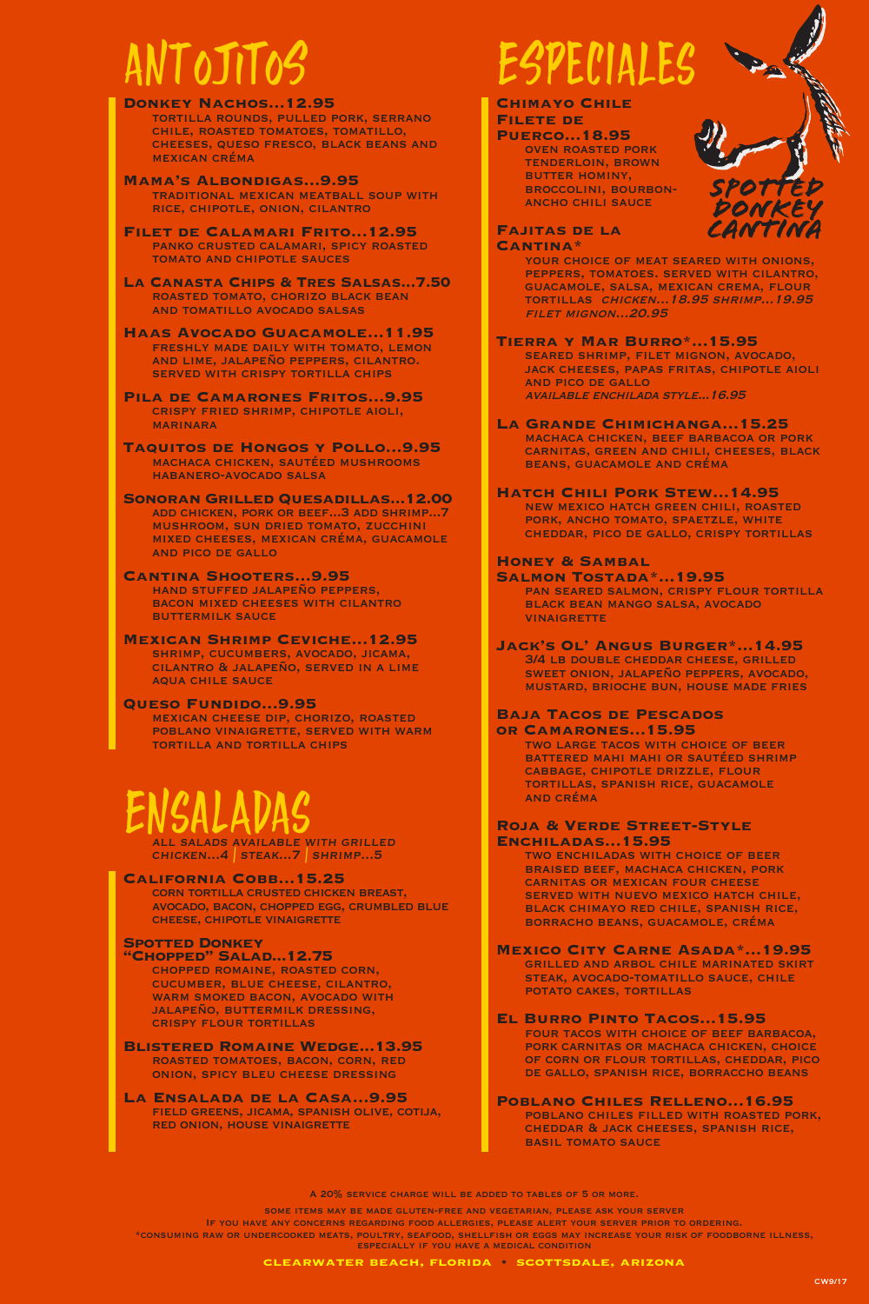# antojitos

**Donkey Nachos...12.95** tortilla rounds, pulled pork, serrano chile, roasted tomatoes, tomatillo, cheeses, queso fresco, black beans and mexican créma

- **Mama's Albondigas...9.95** traditional mexican meatball soup with rice, chipotle, onion, cilantro
- **Filet de Calamari Frito...12.95** panko crusted calamari, spicy roasted tomato and chipotle sauces
- **La Canasta Chips & Tres Salsas...7.50** roasted tomato, chorizo black bean and tomatillo avocado salsas
- **Haas Avocado Guacamole...11.95** freshly made daily with tomato, lemon and lime, jalapeño peppers, cilantro. served with crispy tortilla chips
- **Pila de Camarones Fritos...9.95** crispy fried shrimp, chipotle aioli, **MARINARA**
- **Taquitos de Hongos y Pollo...9.95** machaca chicken, sautéed mushrooms habanero-avocado salsa
- **Sonoran Grilled Quesadillas...12.00** add chicken, pork or beef...3 add shrimp...7 mushroom, sun dried tomato, zucchini mixed cheeses, mexican créma, guacamole and pico de gallo
- **Cantina Shooters...9.95** hand stuffed jalapeño peppers, bacon mixed cheeses with cilantro buttermilk sauce
- **Mexican Shrimp Ceviche...12.95** shrimp, cucumbers, avocado, jicama, cilantro & jalapeño, served in a lime aqua chile sauce
- **Queso Fundido...9.95** mexican cheese dip, chorizo, roasted poblano vinaigrette, served with warm tortilla and tortilla chips

# ENSALADAS

chicken...4 | steak...7 | shrimp...5

### **California Cobb...15.25**

corn tortilla crusted chicken breast, avocado, bacon, chopped egg, crumbled blue cheese, chipotle vinaigrette

### **Spotted Donkey**

**"Chopped" Salad...12.75** chopped romaine, roasted corn, cucumber, blue cheese, cilantro, WARM SMOKED BACON, AVOCADO WITH jalapeño, buttermilk dressing, crispy flour tortillas

- **Blistered Romaine Wedge...13.95** roasted tomatoes, bacon, corn, red onion, spicy bleu cheese dressing
- **La Ensalada de la Casa...9.95** field greens, jicama, spanish olive, cotija, red onion, house vinaigrette

# especiales

#### **Chimayo Chile Filete de**

**Puerco...18.95** oven roasted pork tenderloin, brown



# 07 DONKE CANTINI

#### **Fajitas de la Cantina\***

YOUR CHOICE OF MEAT SEARED WITH ONIONS, peppers, tomatoes. served with cilantro, guacamole, salsa, mexican crema, flour tortillas chicken...18.95 shrimp...19.95 filet mignon...20.95

**Tierra y Mar Burro\*...15.95** seared shrimp, filet mignon, avocado, jack cheeses, papas fritas, chipotle aioli and pico de gallo available enchilada style...16.95

#### **La Grande Chimichanga...15.25**

machaca chicken, beef barbacoa or pork carnitas, green and chili, cheeses, black beans, guacamole and créma

### **Hatch Chili Pork Stew...14.95**

new mexico hatch green chili, roasted PORK, ANCHO TOMATO, SPAETZLE, WHITE cheddar, pico de gallo, crispy tortillas

#### **Honey & Sambal**

**Salmon Tostada\*...19.95** pan seared salmon, crispy flour tortilla black bean mango salsa, avocado **VINAIGRETTE** 

#### **Jack's Ol' Angus Burger\*...14.95** 3/4 lb double cheddar cheese, grilled sweet onion, jalapeño peppers, avocado, mustard, brioche bun, house made fries

#### **Baja Tacos de Pescados or Camarones...15.95**

two large tacos with choice of beer battered mahi mahi or sautéed shrimp cabbage, chipotle drizzle, flour tortillas, spanish rice, guacamole and créma

#### **Roja & Verde Street-Style Enchiladas...15.95**

two enchiladas with choice of beer braised beef, machaca chicken, pork carnitas or mexican four cheese SERVED WITH NUEVO MEXICO HATCH CHILE, black chimayo red chile, spanish rice, borracho beans, guacamole, créma

- **Mexico City Carne Asada\*...19.95** grilled and arbol chile marinated skirt steak, avocado-tomatillo sauce, chile POTATO CAKES, TORTILLAS
- **El Burro Pinto Tacos...15.95** four tacos with choice of beef barbacoa, pork carnitas or machaca chicken, choice of corn or flour tortillas, cheddar, pico de gallo, spanish rice, borraccho beans

#### **Poblano Chiles Relleno...16.95** poblano chiles filled with roasted pork, cheddar & jack cheeses, spanish rice, **BASIL TOMATO SAUCE**

A 20% service charge will be added to tables of 5 or more.

some items may be made gluten-free and vegetarian, please ask your server

If you have any concerns regarding food allergies, please alert your server prior to ordering. \*consuming raw or undercooked meats, poultry, seafood, shellfish or eggs may increase your risk of foodborne illness, especially if you have a medical condition